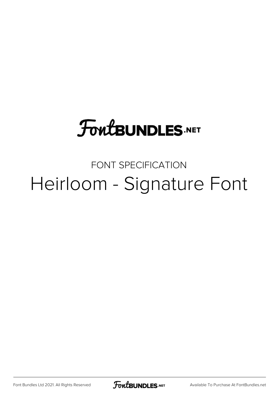## **FoutBUNDLES.NET**

## FONT SPECIFICATION Heirloom - Signature Font

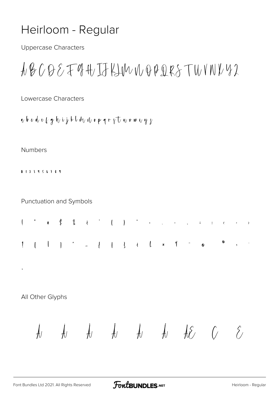## Heirloom - Regular

**Uppercase Characters** 

$$
\textit{A}\&\textit{C}\&\textit{E}\&\textit{H}\&\textit{L}\&\textit{W}\&\textit{W}\&\textit{V}\&\textit{V}\&\textit{V}\&\textit{V}\&\textit{V}
$$

Lowercase Characters

a b c d e k g h i j k l du u o p q r s t u v w u y s

## Numbers

0123456789

Punctuation and Symbols

All Other Glyphs

 $\overline{\phantom{a}}$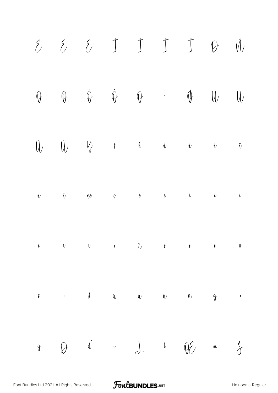